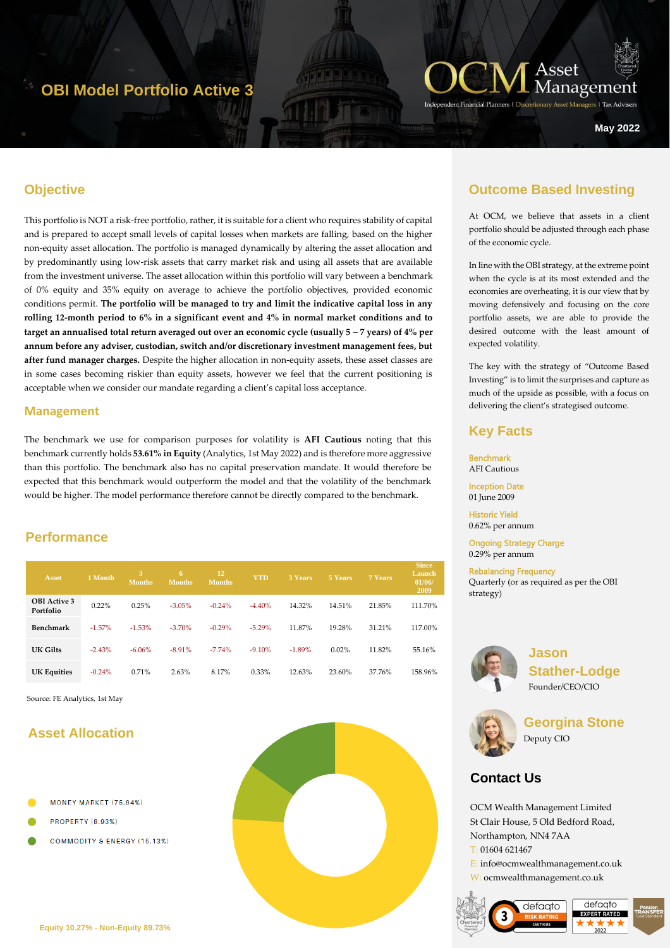# **OBI Model Portfolio Active 3**



zers | Tax Advise

**May 2022**

### **Objective**

This portfolio is NOT a risk-free portfolio, rather, it is suitable for a client who requires stability of capital and is prepared to accept small levels of capital losses when markets are falling, based on the higher non-equity asset allocation. The portfolio is managed dynamically by altering the asset allocation and by predominantly using low-risk assets that carry market risk and using all assets that are available from the investment universe. The asset allocation within this portfolio will vary between a benchmark of 0% equity and 35% equity on average to achieve the portfolio objectives, provided economic conditions permit. **The portfolio will be managed to try and limit the indicative capital loss in any rolling 12-month period to 6% in a significant event and 4% in normal market conditions and to target an annualised total return averaged out over an economic cycle (usually**  $5 - 7$  **years) of**  $4\%$  **per annum before any adviser, custodian, switch and/or discretionary investment management fees, but after fund manager charges.** Despite the higher allocation in non-equity assets, these asset classes are in some cases becoming riskier than equity assets, however we feel that the current positioning is acceptable when we consider our mandate regarding a client's capital loss acceptance.

#### **Management**

The benchmark we use for comparison purposes for volatility is **AFI Cautious** noting that this benchmark currently holds **53.61% in Equity** (Analytics, 1st May 2022) and is therefore more aggressive than this portfolio. The benchmark also has no capital preservation mandate. It would therefore be expected that this benchmark would outperform the model and that the volatility of the benchmark would be higher. The model performance therefore cannot be directly compared to the benchmark.

### **Performance**

| Asset                            | 1 Month   | 3<br><b>Months</b> | 6<br><b>Months</b> | <b>12</b><br><b>Months</b> | <b>YTD</b> | 3 Years  | 5 Years | 7 Years | <b>Since</b><br>Launch<br>01/06/<br>2009 |
|----------------------------------|-----------|--------------------|--------------------|----------------------------|------------|----------|---------|---------|------------------------------------------|
| <b>OBI</b> Active 3<br>Portfolio | 0.22%     | 0.25%              | $-3.05%$           | $-0.24%$                   | $-4.40%$   | 14.32%   | 14.51%  | 21.85%  | 111.70%                                  |
| Benchmark                        | $-1.57\%$ | $-1.53%$           | $-3.70%$           | $-0.29%$                   | $-5.29%$   | 11.87%   | 19.28%  | 31.21%  | 117.00%                                  |
| UK Gilts                         | $-2.43%$  | $-6.06\%$          | $-8.91%$           | $-7.74%$                   | $-9.10%$   | $-1.89%$ | 0.02%   | 11.82%  | 55.16%                                   |
| <b>UK Equities</b>               | $-0.24%$  | 0.71%              | 2.63%              | 8.17%                      | 0.33%      | 12.63%   | 23.60%  | 37.76%  | 158.96%                                  |

Source: FE Analytics, 1st May

### **Asset Allocation**

- MONEY MARKET (75.94%)
- **PROPERTY (8.93%)**
- COMMODITY & ENERGY (15.13%)



### **Outcome Based Investing**

At OCM, we believe that assets in a client portfolio should be adjusted through each phase of the economic cycle.

In line with the OBI strategy, at the extreme point when the cycle is at its most extended and the economies are overheating, it is our view that by moving defensively and focusing on the core portfolio assets, we are able to provide the desired outcome with the least amount of expected volatility.

The key with the strategy of "Outcome Based Investing" is to limit the surprises and capture as much of the upside as possible, with a focus on delivering the client's strategised outcome.

#### **Key Facts**

**Benchmark** AFI Cautious

Inception Date 01 June 2009

Historic Yield 0.62% per annum

Ongoing Strategy Charge 0.29% per annum

Rebalancing Frequency Quarterly (or as required as per the OBI strategy)



**Jason Stather-Lodge** Founder/CEO/CIO



**Georgina Stone** Deputy CIO

### **Contact Us**

OCM Wealth Management Limited St Clair House, 5 Old Bedford Road, Northampton, NN4 7AA T: 01604 621467

E: info@ocmwealthmanagement.co.uk W: ocmwealthmanagement.co.uk